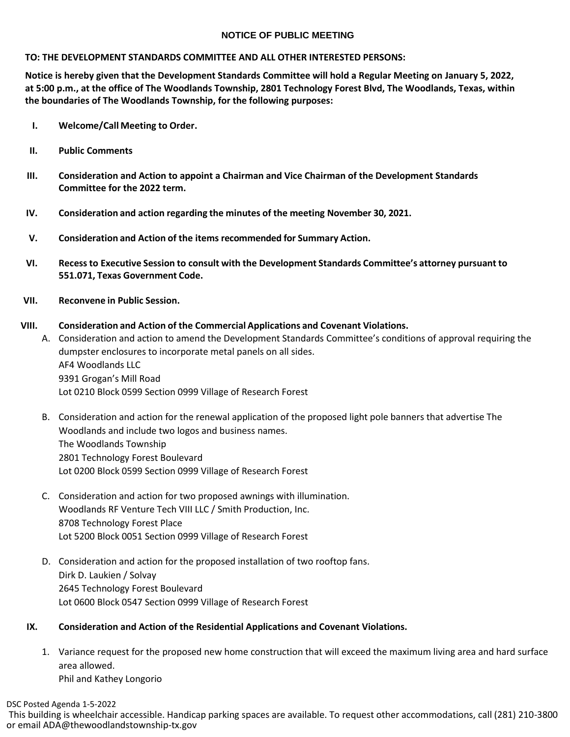## **NOTICE OF PUBLIC MEETING**

## **TO: THE DEVELOPMENT STANDARDS COMMITTEE AND ALL OTHER INTERESTED PERSONS:**

**Notice is hereby given that the Development Standards Committee will hold a Regular Meeting on January 5, 2022, at 5:00 p.m., at the office of The Woodlands Township, 2801 Technology Forest Blvd, The Woodlands, Texas, within the boundaries of The Woodlands Township, for the following purposes:**

- **I. Welcome/Call Meeting to Order.**
- **II. Public Comments**
- **III. Consideration and Action to appoint a Chairman and Vice Chairman of the Development Standards Committee for the 2022 term.**
- **IV. Consideration and action regarding the minutes of the meeting November 30, 2021.**
- **V. Consideration and Action of the items recommended for Summary Action.**
- **VI. Recessto Executive Session to consult with the Development Standards Committee's attorney pursuant to 551.071, Texas Government Code.**
- **VII. Reconvene in Public Session.**

## **VIII. Consideration and Action of the Commercial Applications and Covenant Violations.**

- A. Consideration and action to amend the Development Standards Committee's conditions of approval requiring the dumpster enclosures to incorporate metal panels on all sides. AF4 Woodlands LLC 9391 Grogan's Mill Road Lot 0210 Block 0599 Section 0999 Village of Research Forest
- B. Consideration and action for the renewal application of the proposed light pole banners that advertise The Woodlands and include two logos and business names. The Woodlands Township 2801 Technology Forest Boulevard Lot 0200 Block 0599 Section 0999 Village of Research Forest
- C. Consideration and action for two proposed awnings with illumination. Woodlands RF Venture Tech VIII LLC / Smith Production, Inc. 8708 Technology Forest Place Lot 5200 Block 0051 Section 0999 Village of Research Forest
- D. Consideration and action for the proposed installation of two rooftop fans. Dirk D. Laukien / Solvay 2645 Technology Forest Boulevard Lot 0600 Block 0547 Section 0999 Village of Research Forest

## **IX. Consideration and Action of the Residential Applications and Covenant Violations.**

1. Variance request for the proposed new home construction that will exceed the maximum living area and hard surface area allowed.

Phil and Kathey Longorio

DSC Posted Agenda 1-5-2022

This building is wheelchair accessible. Handicap parking spaces are available. To request other accommodations, call (281) 210-3800 or email ADA@thewoodlandstownship-tx.gov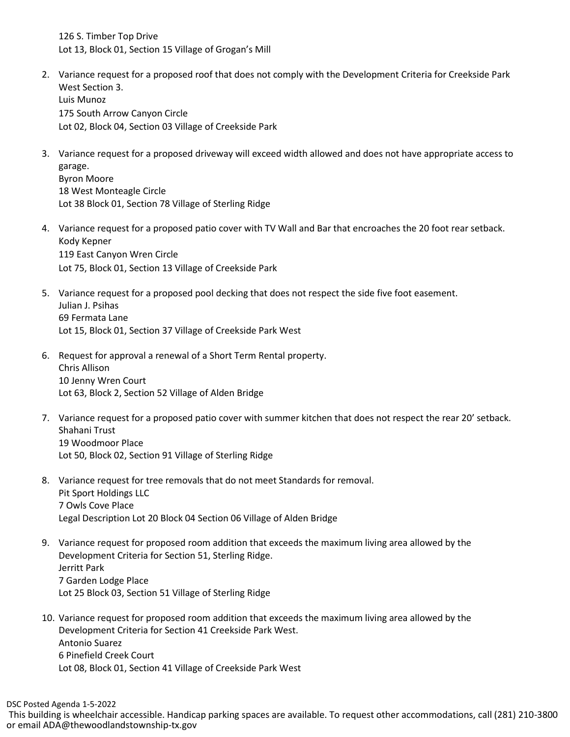126 S. Timber Top Drive Lot 13, Block 01, Section 15 Village of Grogan's Mill

- 2. Variance request for a proposed roof that does not comply with the Development Criteria for Creekside Park West Section 3. Luis Munoz 175 South Arrow Canyon Circle Lot 02, Block 04, Section 03 Village of Creekside Park
- 3. Variance request for a proposed driveway will exceed width allowed and does not have appropriate access to garage. Byron Moore 18 West Monteagle Circle Lot 38 Block 01, Section 78 Village of Sterling Ridge
- 4. Variance request for a proposed patio cover with TV Wall and Bar that encroaches the 20 foot rear setback. Kody Kepner 119 East Canyon Wren Circle Lot 75, Block 01, Section 13 Village of Creekside Park
- 5. Variance request for a proposed pool decking that does not respect the side five foot easement. Julian J. Psihas 69 Fermata Lane Lot 15, Block 01, Section 37 Village of Creekside Park West
- 6. Request for approval a renewal of a Short Term Rental property. Chris Allison 10 Jenny Wren Court Lot 63, Block 2, Section 52 Village of Alden Bridge
- 7. Variance request for a proposed patio cover with summer kitchen that does not respect the rear 20' setback. Shahani Trust 19 Woodmoor Place Lot 50, Block 02, Section 91 Village of Sterling Ridge
- 8. Variance request for tree removals that do not meet Standards for removal. Pit Sport Holdings LLC 7 Owls Cove Place Legal Description Lot 20 Block 04 Section 06 Village of Alden Bridge
- 9. Variance request for proposed room addition that exceeds the maximum living area allowed by the Development Criteria for Section 51, Sterling Ridge. Jerritt Park 7 Garden Lodge Place Lot 25 Block 03, Section 51 Village of Sterling Ridge
- 10. Variance request for proposed room addition that exceeds the maximum living area allowed by the Development Criteria for Section 41 Creekside Park West. Antonio Suarez 6 Pinefield Creek Court Lot 08, Block 01, Section 41 Village of Creekside Park West

This building is wheelchair accessible. Handicap parking spaces are available. To request other accommodations, call (281) 210-3800 or email ADA@thewoodlandstownship-tx.gov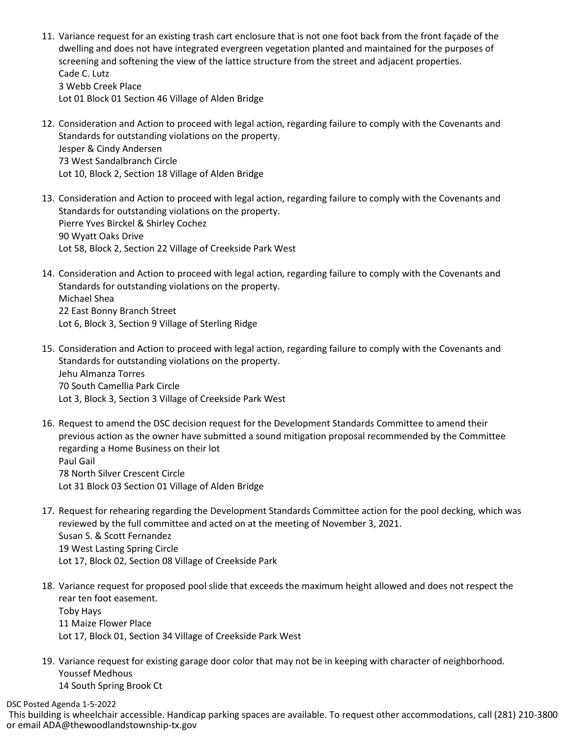- 11. Variance request for an existing trash cart enclosure that is not one foot back from the front façade of the dwelling and does not have integrated evergreen vegetation planted and maintained for the purposes of screening and softening the view of the lattice structure from the street and adjacent properties. Cade C. Lutz 3 Webb Creek Place Lot 01 Block 01 Section 46 Village of Alden Bridge
- 12. Consideration and Action to proceed with legal action, regarding failure to comply with the Covenants and Standards for outstanding violations on the property. Jesper & Cindy Andersen 73 West Sandalbranch Circle Lot 10, Block 2, Section 18 Village of Alden Bridge
- 13. Consideration and Action to proceed with legal action, regarding failure to comply with the Covenants and Standards for outstanding violations on the property. Pierre Yves Birckel & Shirley Cochez 90 Wyatt Oaks Drive Lot 58, Block 2, Section 22 Village of Creekside Park West
- 14. Consideration and Action to proceed with legal action, regarding failure to comply with the Covenants and Standards for outstanding violations on the property. Michael Shea 22 East Bonny Branch Street Lot 6, Block 3, Section 9 Village of Sterling Ridge
- 15. Consideration and Action to proceed with legal action, regarding failure to comply with the Covenants and Standards for outstanding violations on the property. Jehu Almanza Torres 70 South Camellia Park Circle Lot 3, Block 3, Section 3 Village of Creekside Park West
- 16. Request to amend the DSC decision request for the Development Standards Committee to amend their previous action as the owner have submitted a sound mitigation proposal recommended by the Committee regarding a Home Business on their lot Paul Gail 78 North Silver Crescent Circle Lot 31 Block 03 Section 01 Village of Alden Bridge
- 17. Request for rehearing regarding the Development Standards Committee action for the pool decking, which was reviewed by the full committee and acted on at the meeting of November 3, 2021. Susan S. & Scott Fernandez 19 West Lasting Spring Circle Lot 17, Block 02, Section 08 Village of Creekside Park
- 18. Variance request for proposed pool slide that exceeds the maximum height allowed and does not respect the rear ten foot easement. Toby Hays 11 Maize Flower Place Lot 17, Block 01, Section 34 Village of Creekside Park West
- 19. Variance request for existing garage door color that may not be in keeping with character of neighborhood. Youssef Medhous 14 South Spring Brook Ct

DSC Posted Agenda 1-5-2022

This building is wheelchair accessible. Handicap parking spaces are available. To request other accommodations, call (281) 210-3800 or email ADA@thewoodlandstownship-tx.gov